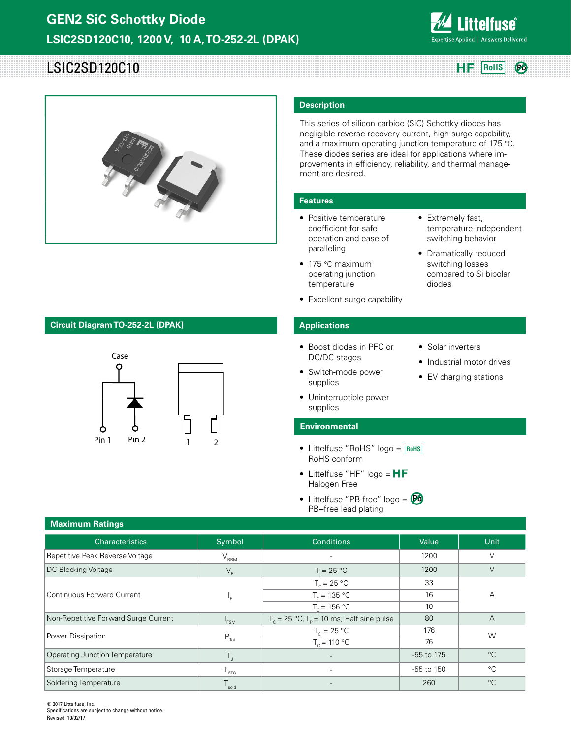

**Pb**

# LSIC2SD120C10 **Reduce 2 Roms RF** RoHS



## **Circuit Diagram TO-252-2L (DPAK)**



## **Description**

This series of silicon carbide (SiC) Schottky diodes has negligible reverse recovery current, high surge capability, and a maximum operating junction temperature of 175 °C. These diodes series are ideal for applications where improvements in efficiency, reliability, and thermal management are desired.

• Extremely fast,

diodes

• Solar inverters

• Industrial motor drives • EV charging stations

temperature-independent switching behavior • Dramatically reduced switching losses compared to Si bipolar

## **Features**

- Positive temperature coefficient for safe operation and ease of paralleling
- 175 °C maximum operating junction temperature
- Excellent surge capability

## **Applications**

- Boost diodes in PFC or DC/DC stages
- Switch-mode power supplies
- Uninterruptible power supplies

### **Environmental**

- Littelfuse "RoHS" logo = **RoHS** RoHS conform
- Littelfuse "HF" logo =  $HF$ Halogen Free
- Littelfuse "PB-free" logo = **Pb**PB--free lead plating

| <b>Maximum Ratings</b>                |                                               |                                                                 |            |                |  |  |
|---------------------------------------|-----------------------------------------------|-----------------------------------------------------------------|------------|----------------|--|--|
| Characteristics                       | Symbol                                        | <b>Conditions</b>                                               | Value      | Unit           |  |  |
| Repetitive Peak Reverse Voltage       | $V_{\rm RRM}$                                 |                                                                 | 1200       | V              |  |  |
| <b>DC Blocking Voltage</b>            | $\mathsf{V}_{\scriptscriptstyle{\mathsf{R}}}$ | $T = 25 °C$                                                     | 1200       | $\vee$         |  |  |
|                                       |                                               | $T_c = 25 °C$                                                   | 33         |                |  |  |
| Continuous Forward Current            | ⊾،                                            | $T_c = 135 °C$                                                  | 16         | Α              |  |  |
|                                       |                                               | $T_c = 156 °C$                                                  | 10         |                |  |  |
| Non-Repetitive Forward Surge Current  | $I_{FSM}$                                     | $T_c = 25 \text{ °C}$ , $T_p = 10 \text{ ms}$ , Half sine pulse | 80         | $\overline{A}$ |  |  |
| Power Dissipation                     |                                               | $T_c = 25 °C$                                                   | 176        | W              |  |  |
|                                       | $P_{\text{Tot}}$                              | $T_c = 110 °C$                                                  | 76         |                |  |  |
| <b>Operating Junction Temperature</b> | $T_{\rm i}$                                   | $\overline{\phantom{a}}$                                        | -55 to 175 | $^{\circ}C$    |  |  |
| Storage Temperature                   | $T_{\text{STG}}$                              |                                                                 | -55 to 150 | $^{\circ}C$    |  |  |
| Soldering Temperature                 | $T_{\rm sold}$                                |                                                                 | 260        | $^{\circ}C$    |  |  |

© 2017 Littelfuse, Inc. Specifications are subject to change without notice. Revised: 10/02/17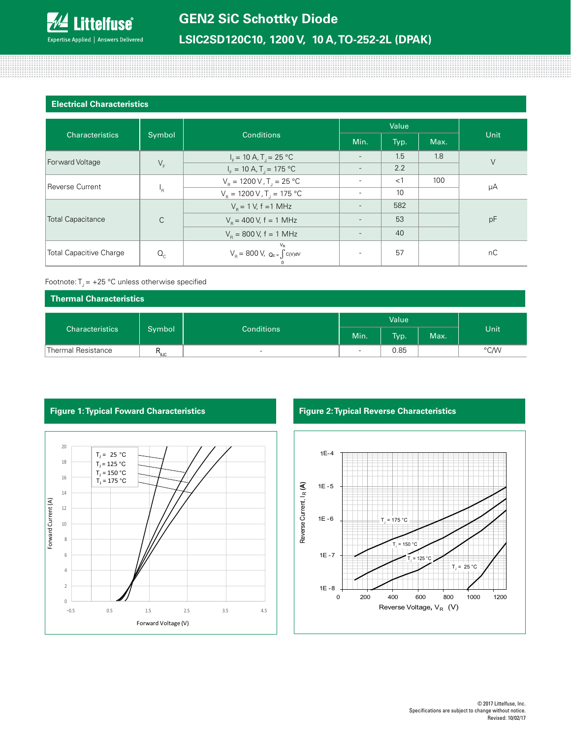

# **LSIC2SD120C10, 1200 V, 10 A, TO-252-2L (DPAK)**

## **Electrical Characteristics**

100000000000

|                                |                           |                                                                                        | Value                    |       |      |        |  |
|--------------------------------|---------------------------|----------------------------------------------------------------------------------------|--------------------------|-------|------|--------|--|
| <b>Characteristics</b>         | Symbol                    | <b>Conditions</b>                                                                      | Min.                     | Typ.  | Max. | Unit   |  |
|                                |                           | $I_F = 10 A, T_J = 25 °C$                                                              |                          | 1.5   | 1.8  | $\vee$ |  |
| Forward Voltage                | $V_F$                     | $I_{\rm F} = 10 \text{ A}$ , T <sub>1</sub> = 175 °C                                   | $\overline{\phantom{a}}$ | 2.2   |      |        |  |
| Reverse Current                | $\mathsf{F}_{\mathsf{R}}$ | $V_{\rm p} = 1200 \,\text{V}$ , T <sub>1</sub> = 25 °C                                 |                          | $<$ 1 | 100  | μA     |  |
|                                |                           | $V_R = 1200 \text{ V}$ , T <sub>1</sub> = 175 °C                                       |                          | 10    |      |        |  |
| <b>Total Capacitance</b>       | $\mathsf{C}$              | $V_{\rm B} = 1$ V, f = 1 MHz                                                           |                          | 582   |      | pF     |  |
|                                |                           | $V_{\rm B}$ = 400 V, f = 1 MHz                                                         |                          | 53    |      |        |  |
|                                |                           | $V_{\rm B} = 800 \text{ V}, f = 1 \text{ MHz}$                                         |                          | 40    |      |        |  |
| <b>Total Capacitive Charge</b> | $Q_{c}$                   | $V_R$<br>$\text{V}_\text{R} = 800 \text{ V}, \text{ Q}_\text{c} = \int c(v) \text{d}v$ |                          | 57    |      | nC     |  |

## Footnote:  $T_1 = +25$  °C unless otherwise specified

| Thermal Characteristics |                  |                          |                          |      |      |      |
|-------------------------|------------------|--------------------------|--------------------------|------|------|------|
|                         |                  |                          | Value                    |      |      |      |
| Characteristics         | Symbol           | <b>Conditions</b>        | Min.                     | Typ. | Max. | Unit |
| Thermal Resistance      | $R_{\text{euc}}$ | $\overline{\phantom{a}}$ | $\overline{\phantom{a}}$ | 0.85 |      | °C/W |





# **Figure 1: Typical Foward Characteristics Figure 2: Typical Reverse Characteristics**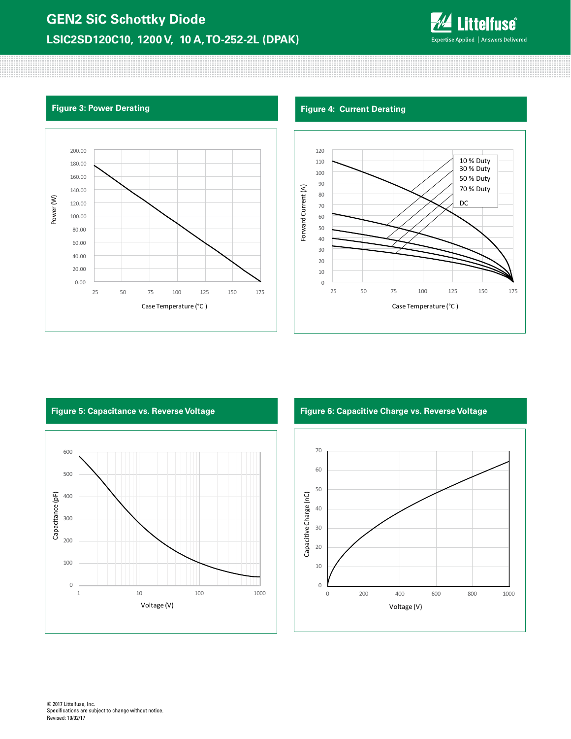# **GEN2 SiC Schottky Diode LSIC2SD120C10, 1200 V, 10 A, TO-252-2L (DPAK)**



80000000000

# **Figure 3: Power Derating Figure 4: Current Derating Figure 4: Current Derating**





600 500 Capacitance (pF) Capacitance (pF) 400 300 200 100 0 1 10 100 1000 1000 Voltage (V)

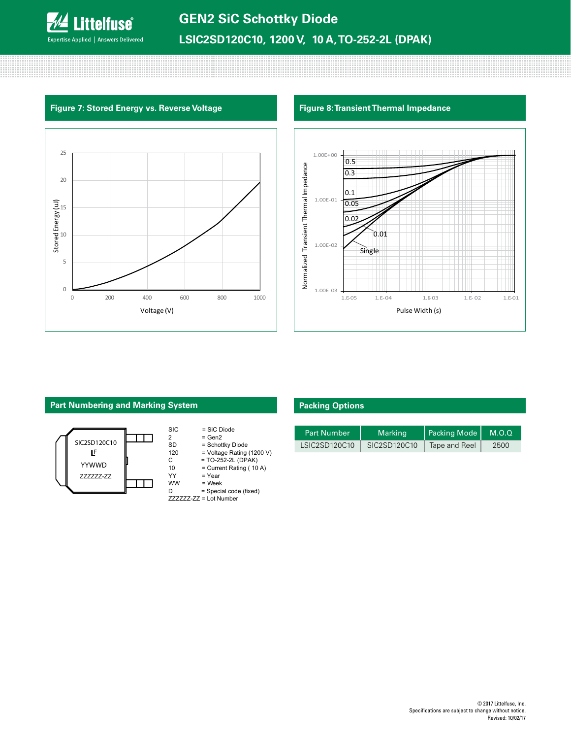

# **Figure 7: Stored Energy vs. Reverse Voltage Figure 8: Transient Thermal Impedance**





# **Part Numbering and Marking System**



| <b>SIC</b> | $=$ SiC Diode             |
|------------|---------------------------|
| 2          | $= Gen2$                  |
| SD         | = Schottky Diode          |
| 120        | = Voltage Rating (1200 V) |
| C.         | $= TO-252-2L (DPAK)$      |
| 10         | = Current Rating (10 A)   |
| YY         | = Year                    |
| ww         | $=$ Week                  |
|            | = Special code (fixed)    |

ZZZZZZ-ZZ = Lot Number

# **Packing Options**

| <b>Part Number</b> | Marking      | Packing Mode  | M.O.Q |
|--------------------|--------------|---------------|-------|
| LSIC2SD120C10      | SIC2SD120C10 | Tape and Reel | 2500  |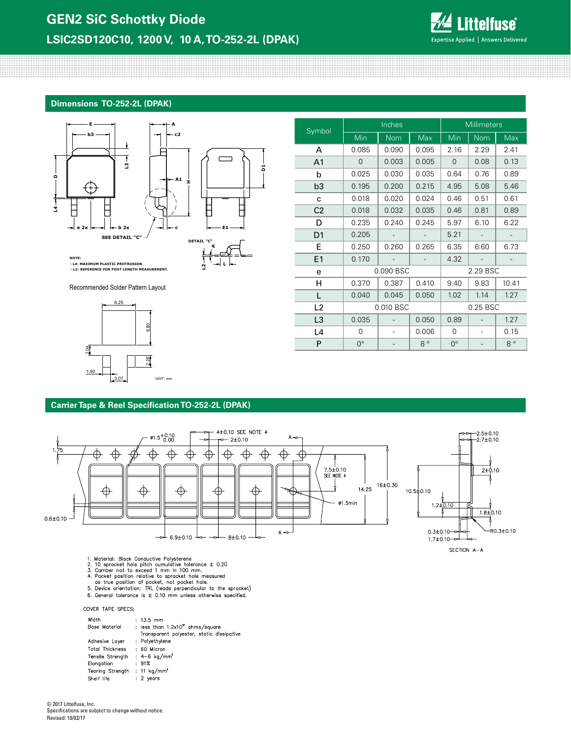

## **Dimensions TO-252-2L (DPAK)**



**L**

**L2**



Recommended Solder Pattern Layout



| Symbol         | Inches      |            |             | <b>Millimeters</b> |            |             |  |
|----------------|-------------|------------|-------------|--------------------|------------|-------------|--|
|                | Min         | <b>Nom</b> | Max         | Min                | <b>Nom</b> | Max         |  |
| A              | 0.085       | 0.090      | 0.095       | 2.16               | 2.29       | 2.41        |  |
| A <sub>1</sub> | 0           | 0.003      | 0.005       | 0                  | 0.08       | 0.13        |  |
| b              | 0.025       | 0.030      | 0.035       | 0.64               | 0.76       | 0.89        |  |
| b <sub>3</sub> | 0.195       | 0.200      | 0.215       | 4.95               | 5.08       | 5.46        |  |
| C              | 0.018       | 0.020      | 0.024       | 0.46               | 0.51       | 0.61        |  |
| C <sub>2</sub> | 0.018       | 0.032      | 0.035       | 0.46               | 0.81       | 0.89        |  |
| D              | 0.235       | 0.240      | 0.245       | 5.97               | 6.10       | 6.22        |  |
| D <sub>1</sub> | 0.205       |            |             | 5.21               |            |             |  |
| E              | 0.250       | 0.260      | 0.265       | 6.35               | 6.60       | 6.73        |  |
| E1             | 0.170       |            |             | 4.32               |            |             |  |
| e              | 0.090 BSC   |            |             | 2.29 BSC           |            |             |  |
| н              | 0.370       | 0.387      | 0.410       | 9.40               | 9.83       | 10.41       |  |
| L              | 0.040       | 0.045      | 0.050       | 1.02               | 1.14       | 1.27        |  |
| L2             | 0.010 BSC   |            |             |                    | 0.25 BSC   |             |  |
| L <sub>3</sub> | 0.035       |            | 0.050       | 0.89               |            | 1.27        |  |
| L4             | 0           |            | 0.006       | 0                  |            | 0.15        |  |
| P              | $0^{\circ}$ |            | $8^{\circ}$ | $0^{\circ}$        |            | $8^{\circ}$ |  |

## **Carrier Tape & Reel Specification TO-252-2L (DPAK)**



- 
- 
- 
- 
- 1. Material: Black Conductive Polysterene<br>
2. 10 sprocket hole pitch cumulative tolerance  $\pm$  0.20<br>
3. Camber not to exceed 1 mm in 100 mm.<br>
4. Pocket position relative to sprocket hole measured<br>
as true position of pock
- 6. General tolerance is  $\pm$  0.10 mm unless otherwise specified.

COVER TAPE SPECS:

| Width<br>Base Material                   | $: 13.5$ mm<br>: less than $1.2 \times 10^{12}$ ohms/square<br>Transparent polyester, static dissipative |
|------------------------------------------|----------------------------------------------------------------------------------------------------------|
| Adhesive Layer                           | : Polyethylene                                                                                           |
| <b>Total Thickness</b>                   | : 60 Micron                                                                                              |
| Tensile Strenath                         | $: 4 - 6$ kg/mm <sup>2</sup>                                                                             |
| Elongation                               | :91%                                                                                                     |
| Tearing Strength : 11 kg/mm <sup>2</sup> |                                                                                                          |
| Shelf life                               | $: 2$ years                                                                                              |

© 2017 Littelfuse, Inc. Specifications are subject to change without notice. Revised: 10/02/17